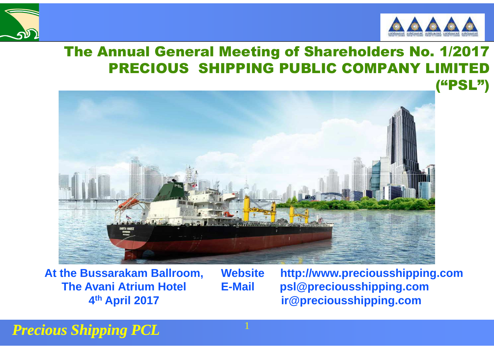



#### The Annual General Meeting of Shareholders No. 1/2017PRECIOUS SHIPPING PUBLIC COMPANY LIM



**At the Bussarakam Ballroom, The Avani Atrium Hotel 4th April 2017**

**Website http://www.preciousshipping.comE-Mail psl@preciousshipping.comir@preciousshipping.com**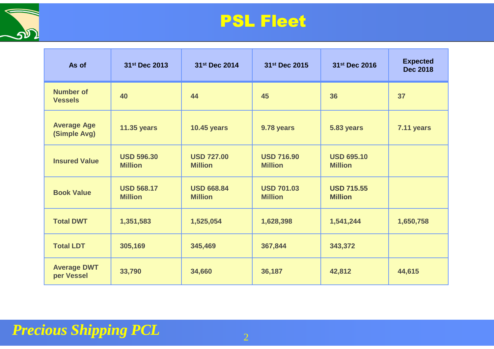

#### PSL Fleet

| As of                              | 31st Dec 2013                       | 31st Dec 2014                       | 31st Dec 2015                       | 31st Dec 2016                       | <b>Expected</b><br><b>Dec 2018</b> |
|------------------------------------|-------------------------------------|-------------------------------------|-------------------------------------|-------------------------------------|------------------------------------|
| <b>Number of</b><br><b>Vessels</b> | 40                                  | 44                                  | 45                                  | 36                                  | 37                                 |
| <b>Average Age</b><br>(Simple Avg) | <b>11.35 years</b>                  | <b>10.45 years</b>                  | 9.78 years                          | 5.83 years                          | 7.11 years                         |
| <b>Insured Value</b>               | <b>USD 596.30</b><br><b>Million</b> | <b>USD 727.00</b><br><b>Million</b> | <b>USD 716.90</b><br><b>Million</b> | <b>USD 695.10</b><br><b>Million</b> |                                    |
| <b>Book Value</b>                  | <b>USD 568.17</b><br><b>Million</b> | <b>USD 668.84</b><br><b>Million</b> | <b>USD 701.03</b><br><b>Million</b> | <b>USD 715.55</b><br><b>Million</b> |                                    |
| <b>Total DWT</b>                   | 1,351,583                           | 1,525,054                           | 1,628,398                           | 1,541,244                           | 1,650,758                          |
| <b>Total LDT</b>                   | 305,169                             | 345,469                             | 367,844                             | 343,372                             |                                    |
| <b>Average DWT</b><br>per Vessel   | 33,790                              | 34,660                              | 36,187                              | 42,812                              | 44,615                             |

#### *Precious Shipping PCL* $2$  and  $2$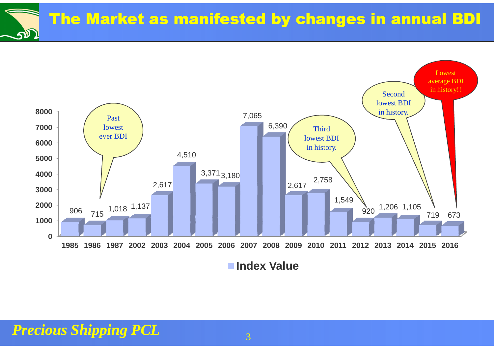The Market as manifested by changes in annual BDIவி

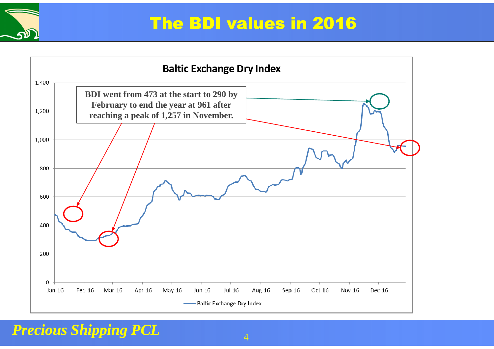

#### The BDI values in 2016

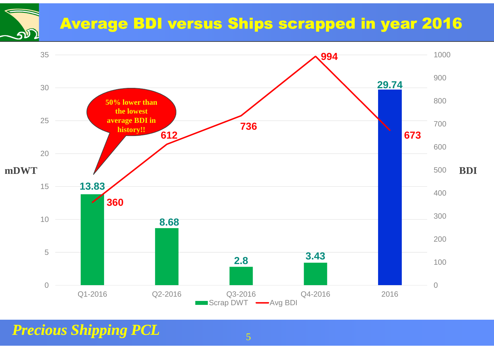## Average BDI versus Ships scrapped in year 2016

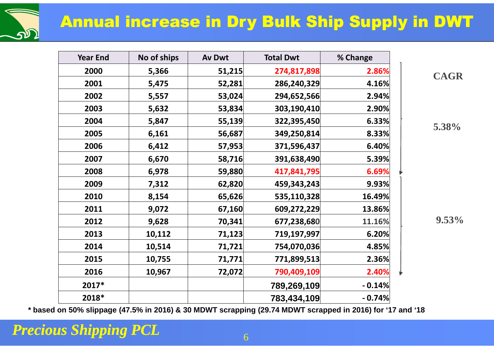### Annual increase in Dry Bulk Ship Supply in DWT

| DD<br>51 |  |
|----------|--|
|          |  |

| <b>Year End</b> | No of ships | Av Dwt | <b>Total Dwt</b> | % Change |  |
|-----------------|-------------|--------|------------------|----------|--|
| 2000            | 5,366       | 51,215 | 274,817,898      | 2.86%    |  |
| 2001            | 5,475       | 52,281 | 286,240,329      | 4.16%    |  |
| 2002            | 5,557       | 53,024 | 294,652,566      | 2.94%    |  |
| 2003            | 5,632       | 53,834 | 303,190,410      | 2.90%    |  |
| 2004            | 5,847       | 55,139 | 322,395,450      | 6.33%    |  |
| 2005            | 6,161       | 56,687 | 349,250,814      | 8.33%    |  |
| 2006            | 6,412       | 57,953 | 371,596,437      | 6.40%    |  |
| 2007            | 6,670       | 58,716 | 391,638,490      | 5.39%    |  |
| 2008            | 6,978       | 59,880 | 417,841,795      | 6.69%    |  |
| 2009            | 7,312       | 62,820 | 459,343,243      | 9.93%    |  |
| 2010            | 8,154       | 65,626 | 535,110,328      | 16.49%   |  |
| 2011            | 9,072       | 67,160 | 609,272,229      | 13.86%   |  |
| 2012            | 9,628       | 70,341 | 677,238,680      | 11.16%   |  |
| 2013            | 10,112      | 71,123 | 719,197,997      | 6.20%    |  |
| 2014            | 10,514      | 71,721 | 754,070,036      | 4.85%    |  |
| 2015            | 10,755      | 71,771 | 771,899,513      | 2.36%    |  |
| 2016            | 10,967      | 72,072 | 790,409,109      | 2.40%    |  |
| 2017*           |             |        | 789,269,109      | $-0.14%$ |  |
| 2018*           |             |        | 783,434,109      | $-0.74%$ |  |

**CAGR**

**5.38%**

**9.53%**

**\* based on 50% slippage (47.5% in 2016) & 30 MDWT scrapping (29.74 MDWT scrapped in 2016) for '17 and '18**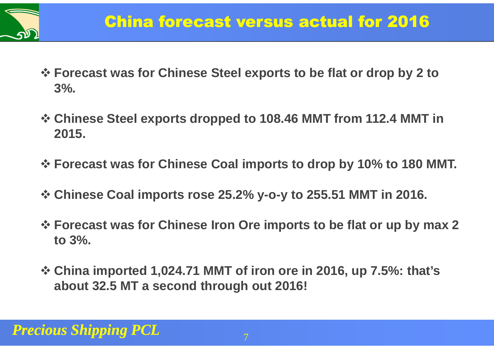

- **\* Forecast was for Chinese Steel exports to be flat or drop by 2 to <br>2% 3%.**
- **Chinese Steel exports dropped to 108.46 MMT from 112.4 MMT in 2015.**
- **Forecast was for Chinese Coal imports to drop by 10% to 180 MMT.**
- **Chinese Coal imports rose 25.2% y-o-y to 255.51 MMT in 2016.**
- **\* Forecast was for Chinese Iron Ore imports to be flat or up by max 2**<br>
to 3% **to 3%.**
- **<sup>❖</sup> China imported 1,024.71 MMT of iron ore in 2016, up 7.5%: that's**<br>about 32.5 MT a second through out 2016! **about 32.5 MT a second through out 2016!**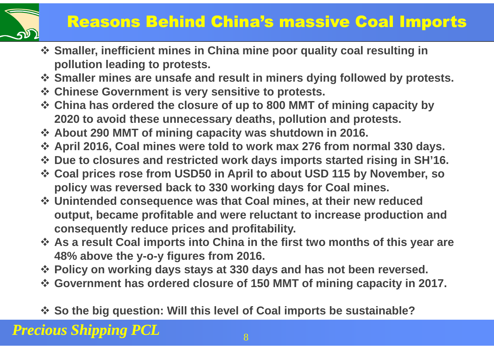

## Reasons Behind China's massive Coal Imports

- **Smaller, inefficient mines in China mine poor quality coal resulting in**<br>**Pollution loading to protests pollution leading to protests.**
- **Smaller mines are unsafe and result in miners dying followed by protests.**<br>☆ Chinese Government is very sensitive to protests
- **Example Covernment is very sensitive to protests.**<br> **Example 200 MMT of Consument OF 110 to 800 MMT of**
- **Example 18 Solution and that China has ordered the closure of up to 800 MMT of mining capacity by**<br>2020 to avoid these unnecessary deaths, pollution and protests **2020 to avoid these unnecessary deaths, pollution and protests.**
- **↑ About 290 MMT of mining capacity was shutdown in 2016.**<br>↑ April 2016, Coal mines were told to work may 276 from not
- **↑ April 2016, Coal mines were told to work max 276 from normal 330 days.**<br>↑ Due to closures and restricted work days imports started rising in SH'46
- **<sup>\*</sup> Due to closures and restricted work days imports started rising in SH'16.<br>
<b>\*** Coal prices rese from USD50 in April to about USD 115 by November, so
- **Example 115 by November, so Coal prices rose from USD50 in April to about USD 115 by November, so**<br>**Policy was roversed back to 330 working days for Coal mines policy was reversed back to 330 working days for Coal mines.**
- **<sup>❖</sup> Unintended consequence was that Coal mines, at their new reduced <br>
output, became profitable and were reluctant to increase production output, became profitable and were reluctant to increase production and consequently reduce prices and profitability.**
- **As a result Coal imports into China in the first two months of this year are** <br>48% above the y-0-y figures from 2016 **48% above the y-o-y figures from 2016.**
- **↑ Policy on working days stays at 330 days and has not been reversed.**<br>↑ Government has ordered closure of 150 MMT of mining canacity in 20
- **Government has ordered closure of 150 MMT of mining capacity in 2017.**
- **So the big question: Will this level of Coal imports be sustainable?**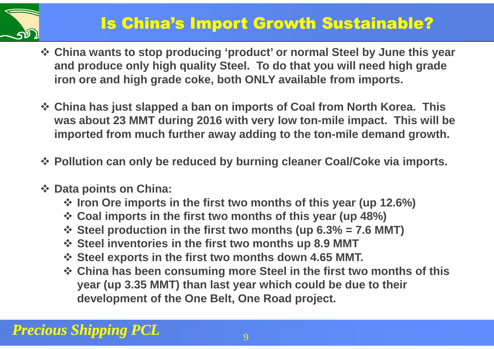

### Is China's Import Growth Sustainable?

- **China wants to stop producing 'product' or normal Steel by June this year and produce only high quality Steel. To do that you will need high grade iron ore and high grade coke, both ONLY available from imports.**
- **China has just slapped a ban on imports of Coal from North Korea. This was about 23 MMT during 2016 with very low ton-mile impact. This will be imported from much further away adding to the ton-mile demand growth.**
- **Pollution can only be reduced by burning cleaner Coal/Coke via imports.**
- **Data points on China:**
	- **♦ Iron Ore imports in the first two months of this year (up 12.6%)**<br>◆ Coal imports in the first two months of this year (up 48%)
	- **Example 10 Coal imports in the first two months of this year (up 48%)**<br>
	Steel production in the first two months (up 6.3% 7.6 M)
	- $\div$  **Steel production in the first two months (up 6.3% = 7.6 MMT)**<br>  $\div$  Steel inventeries in the first two months up 8.9 MMT
	- *<b>❖ Steel inventories in the first two months up 8.9 MMT<br><i>↑ Steel experts in the first two months down 4.65 MMT*
	- **Steel exports in the first two months down 4.65 MMT.**
	- **China has been consuming more Steel in the first two months of this**<br>**Voar (up.3.35 MMT) than last yoar which could be due to thoir year (up 3.35 MMT) than last year which could be due to their development of the One Belt, One Road project.**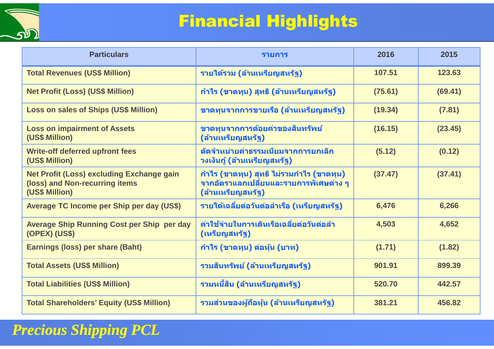

## Financial Highlights

| <b>Particulars</b>                                                                            | <b>รายการ</b>                                                                                            | 2016    | 2015    |
|-----------------------------------------------------------------------------------------------|----------------------------------------------------------------------------------------------------------|---------|---------|
| <b>Total Revenues (US\$ Million)</b>                                                          | รายได้รวม (ล้านเหรียญสหรัฐ)                                                                              | 107.51  | 123.63  |
| <b>Net Profit (Loss) (US\$ Million)</b>                                                       | ี กำไร (ขาดทุน) สุทธิ (ล้านเหรียญสหรัฐ)                                                                  | (75.61) | (69.41) |
| <b>Loss on sales of Ships (US\$ Million)</b>                                                  | ขาดทุนจากการขายเรือ (ล้านเหรียญสหรัฐ)                                                                    | (19.34) | (7.81)  |
| <b>Loss on impairment of Assets</b><br>(US\$ Million)                                         | ขาดทุนจากการด้อยค่าของสินทรัพย์<br>(ล้านเหรียญสหรัฐ)                                                     | (16.15) | (23.45) |
| <b>Write-off deferred upfront fees</b><br>(US\$ Million)                                      | ์ตัดจำหน่ายค่าธรรมเนียมจากการยกเลิก<br>วงเงินกู้ (ล้านเหรียญสหรัฐ)                                       | (5.12)  | (0.12)  |
| Net Profit (Loss) excluding Exchange gain<br>(loss) and Non-recurring items<br>(US\$ Million) | ี กำไร (ขาดทุน) สุทธิ ไม่รวมกำไร (ขาดทุน)<br>จากอัตราแลกเปลี่ยนและรายการพิเศษต่าง ๆ<br>(ล้านเหรียญสหรัฐ) | (37.47) | (37.41) |
| Average TC Income per Ship per day (US\$)                                                     | รายได้เฉลียต่อวันต่อลำเรือ (เหรียญสหรัฐ)                                                                 | 6,476   | 6,266   |
| <b>Average Ship Running Cost per Ship per day</b><br><b>(OPEX) (US\$)</b>                     | ี่ค่าใช้จ่ายในการเดินเรือเฉลี่ยต่อวันต่อลำ<br>(เหรียญสหรัฐ)                                              | 4,503   | 4,652   |
| <b>Earnings (loss) per share (Baht)</b>                                                       | <u>ี</u> กำไร (ขาดทุน) ต่อหุ้น (บาท)                                                                     | (1.71)  | (1.82)  |
| <b>Total Assets (US\$ Million)</b>                                                            | รวมสินทรัพย์ (ล้านเหรียญสหรัฐ)<br>901.91                                                                 |         | 899.39  |
| <b>Total Liabilities (US\$ Million)</b>                                                       | รวมหนี้สิน (ล้านเหรียญสหรัฐ)                                                                             | 520.70  | 442.57  |
| <b>Total Shareholders' Equity (US\$ Million)</b>                                              | รวมส่วนของผู้ถือหุ้น (ล้านเหรียญสหรัฐ)<br>381.21                                                         |         | 456.82  |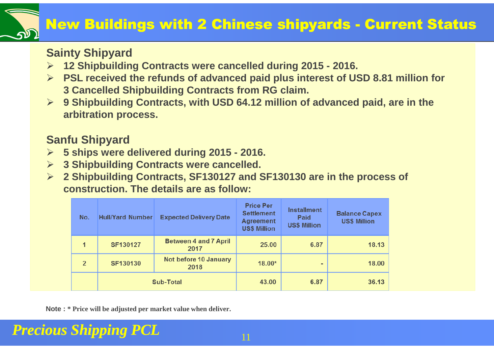### **New Buildings with 2 Chinese shipyards - Current Status**

#### **Sainty Shipyard**

- **12 Shipbuilding Contracts were cancelled during 2015 - 2016.**
- **PSL received the refunds of advanced paid plus interest of USD 8.81 million for 3 Cancelled Shipbuilding Contracts from RG claim.**
- **9 Shipbuilding Contracts, with USD 64.12 million of advanced paid, are in the arbitration process.**

#### **Sanfu Shipyard**

- **5 ships were delivered during 2015 - 2016.**
- **→ 3 Shipbuilding Contracts were cancelled.**<br> **2 Shipbuilding Contracts SE430437 and S**
- **2 Shipbuilding Contracts, SF130127 and SF130130 are in the process of construction. The details are as follow:**

| No.            | <b>Hull/Yard Number</b> | <b>Expected Delivery Date</b>        | <b>Price Per</b><br><b>Settlement</b><br><b>Agreement</b><br><b>US\$ Million</b> | <b>Installment</b><br>Paid<br><b>US\$ Million</b> | <b>Balance Capex</b><br><b>US\$ Million</b> |
|----------------|-------------------------|--------------------------------------|----------------------------------------------------------------------------------|---------------------------------------------------|---------------------------------------------|
| 1              | SF130127                | <b>Between 4 and 7 April</b><br>2017 | 25.00                                                                            | 6.87                                              | 18.13                                       |
| $\overline{2}$ | SF130130                | Not before 10 January<br>2018        | $18.00*$                                                                         | ۰                                                 | 18.00                                       |
|                | <b>Sub-Total</b>        |                                      | 43.00                                                                            | 6.87                                              | 36.13                                       |

**Note : \* Price will be adjusted per market value when deliver.**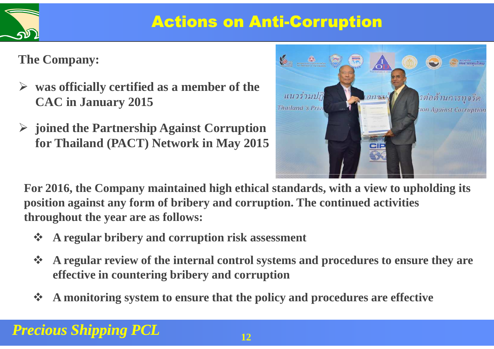

## Actions on Anti-Corruption

**The Company:**

- **was officially certified as a member of the CAC in January 2015**
- **joined the Partnership Against Corruption for Thailand (PACT) Network in May 2015**



**For 2016, the Company maintained high ethical standards, with a view to upholding its position against any form of bribery and corruption. The continued activities throughout the year are as follows:** 

- $\frac{1}{2}$ **A regular bribery and corruption risk assessment**
- $\frac{1}{2}$  **A regular review of the internal control systems and procedures to ensure they are effective in countering bribery and corruption**
- **A monitoring system to ensure that the policy and procedures are effective**